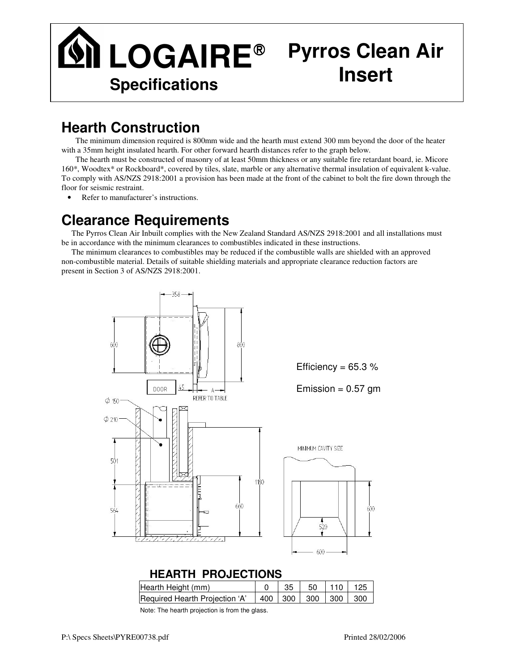

## **Hearth Construction**

The minimum dimension required is 800mm wide and the hearth must extend 300 mm beyond the door of the heater with a 35mm height insulated hearth. For other forward hearth distances refer to the graph below.

The hearth must be constructed of masonry of at least 50mm thickness or any suitable fire retardant board, ie. Micore 160\*, Woodtex\* or Rockboard\*, covered by tiles, slate, marble or any alternative thermal insulation of equivalent k-value. To comply with AS/NZS 2918:2001 a provision has been made at the front of the cabinet to bolt the fire down through the floor for seismic restraint.

• Refer to manufacturer's instructions.

## **Clearance Requirements**

The Pyrros Clean Air Inbuilt complies with the New Zealand Standard AS/NZS 2918:2001 and all installations must be in accordance with the minimum clearances to combustibles indicated in these instructions.

The minimum clearances to combustibles may be reduced if the combustible walls are shielded with an approved non-combustible material. Details of suitable shielding materials and appropriate clearance reduction factors are present in Section 3 of AS/NZS 2918:2001.



| Hearth Height (mm)                                                 |  | $35$ 50 110 125 |  |
|--------------------------------------------------------------------|--|-----------------|--|
| Required Hearth Projection 'A' $\vert$ 400   300   300   300   300 |  |                 |  |

Note: The hearth projection is from the glass.